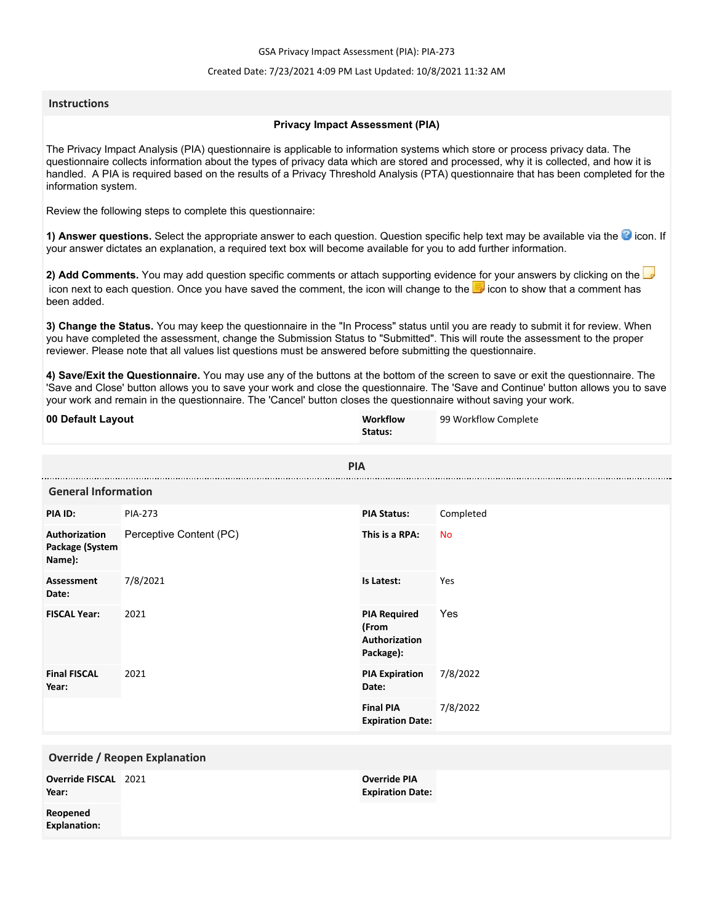GSA Privacy Impact Assessment (PIA): PIA-273

#### Created Date: 7/23/2021 4:09 PM Last Updated: 10/8/2021 11:32 AM

#### **Instructions**

#### **Privacy Impact Assessment (PIA)**

The Privacy Impact Analysis (PIA) questionnaire is applicable to information systems which store or process privacy data. The questionnaire collects information about the types of privacy data which are stored and processed, why it is collected, and how it is handled. A PIA is required based on the results of a Privacy Threshold Analysis (PTA) questionnaire that has been completed for the information system.

Review the following steps to complete this questionnaire:

1) Answer questions. Select the appropriate answer to each question. Question specific help text may be available via the <sup>3</sup> icon. If your answer dictates an explanation, a required text box will become available for you to add further information.

**2) Add Comments.** You may add question specific comments or attach supporting evidence for your answers by clicking on the icon next to each question. Once you have saved the comment, the icon will change to the **i** icon to show that a comment has been added.

**3) Change the Status.** You may keep the questionnaire in the "In Process" status until you are ready to submit it for review. When you have completed the assessment, change the Submission Status to "Submitted". This will route the assessment to the proper reviewer. Please note that all values list questions must be answered before submitting the questionnaire.

**4) Save/Exit the Questionnaire.** You may use any of the buttons at the bottom of the screen to save or exit the questionnaire. The 'Save and Close' button allows you to save your work and close the questionnaire. The 'Save and Continue' button allows you to save your work and remain in the questionnaire. The 'Cancel' button closes the questionnaire without saving your work.

| 00 Default Layout                          |                         | Workflow<br>Status:                                        | 99 Workflow Complete |  |
|--------------------------------------------|-------------------------|------------------------------------------------------------|----------------------|--|
| <b>PIA</b>                                 |                         |                                                            |                      |  |
| <b>General Information</b>                 |                         |                                                            |                      |  |
| PIA ID:                                    | <b>PIA-273</b>          | <b>PIA Status:</b>                                         | Completed            |  |
| Authorization<br>Package (System<br>Name): | Perceptive Content (PC) | This is a RPA:                                             | <b>No</b>            |  |
| <b>Assessment</b><br>Date:                 | 7/8/2021                | Is Latest:                                                 | Yes                  |  |
| <b>FISCAL Year:</b>                        | 2021                    | <b>PIA Required</b><br>(From<br>Authorization<br>Package): | Yes                  |  |
| <b>Final FISCAL</b><br>Year:               | 2021                    | <b>PIA Expiration</b><br>Date:                             | 7/8/2022             |  |
|                                            |                         | <b>Final PIA</b><br><b>Expiration Date:</b>                | 7/8/2022             |  |
| <b>Override / Reopen Explanation</b>       |                         |                                                            |                      |  |
| Override FISCAL 2021<br>Year:              |                         | <b>Override PIA</b><br><b>Expiration Date:</b>             |                      |  |
| Reopened<br><b>Explanation:</b>            |                         |                                                            |                      |  |
|                                            |                         |                                                            |                      |  |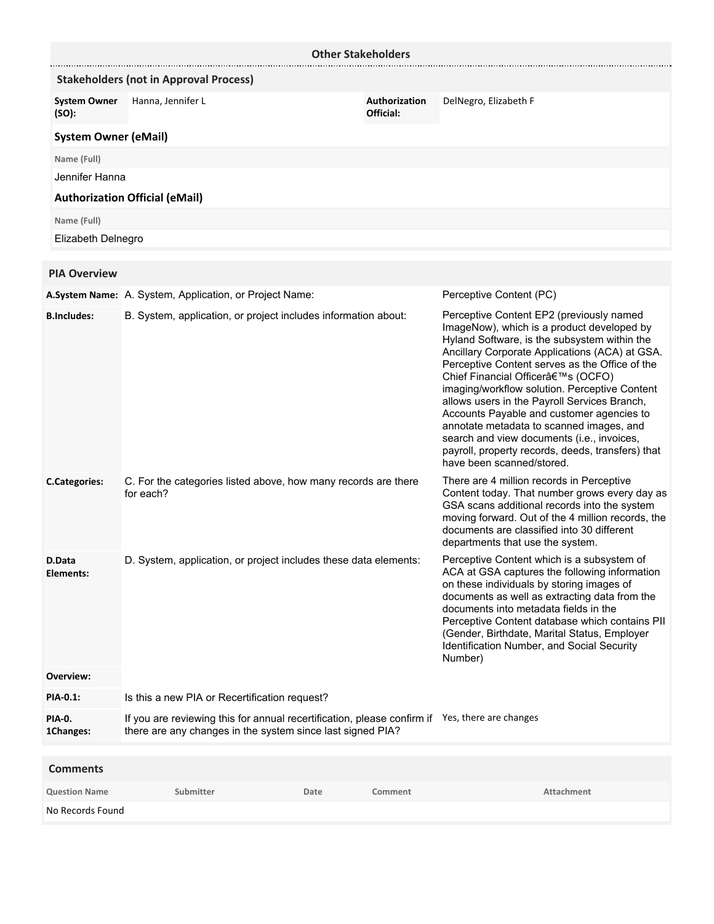| <b>Other Stakeholders</b>    |                                                                                                                                                              |      |                            |                                                                                                                                                                                                                                                                                                                                                                                                                                                                                                                                                                                                          |
|------------------------------|--------------------------------------------------------------------------------------------------------------------------------------------------------------|------|----------------------------|----------------------------------------------------------------------------------------------------------------------------------------------------------------------------------------------------------------------------------------------------------------------------------------------------------------------------------------------------------------------------------------------------------------------------------------------------------------------------------------------------------------------------------------------------------------------------------------------------------|
|                              | <b>Stakeholders (not in Approval Process)</b>                                                                                                                |      |                            |                                                                                                                                                                                                                                                                                                                                                                                                                                                                                                                                                                                                          |
| <b>System Owner</b><br>(SO): | Hanna, Jennifer L                                                                                                                                            |      | Authorization<br>Official: | DelNegro, Elizabeth F                                                                                                                                                                                                                                                                                                                                                                                                                                                                                                                                                                                    |
| <b>System Owner (eMail)</b>  |                                                                                                                                                              |      |                            |                                                                                                                                                                                                                                                                                                                                                                                                                                                                                                                                                                                                          |
| Name (Full)                  |                                                                                                                                                              |      |                            |                                                                                                                                                                                                                                                                                                                                                                                                                                                                                                                                                                                                          |
| Jennifer Hanna               |                                                                                                                                                              |      |                            |                                                                                                                                                                                                                                                                                                                                                                                                                                                                                                                                                                                                          |
|                              | <b>Authorization Official (eMail)</b>                                                                                                                        |      |                            |                                                                                                                                                                                                                                                                                                                                                                                                                                                                                                                                                                                                          |
| Name (Full)                  |                                                                                                                                                              |      |                            |                                                                                                                                                                                                                                                                                                                                                                                                                                                                                                                                                                                                          |
| Elizabeth Delnegro           |                                                                                                                                                              |      |                            |                                                                                                                                                                                                                                                                                                                                                                                                                                                                                                                                                                                                          |
| <b>PIA Overview</b>          |                                                                                                                                                              |      |                            |                                                                                                                                                                                                                                                                                                                                                                                                                                                                                                                                                                                                          |
|                              | A.System Name: A. System, Application, or Project Name:                                                                                                      |      |                            | Perceptive Content (PC)                                                                                                                                                                                                                                                                                                                                                                                                                                                                                                                                                                                  |
| <b>B.Includes:</b>           | B. System, application, or project includes information about:                                                                                               |      |                            | Perceptive Content EP2 (previously named<br>ImageNow), which is a product developed by<br>Hyland Software, is the subsystem within the<br>Ancillary Corporate Applications (ACA) at GSA.<br>Perceptive Content serves as the Office of the<br>Chief Financial Officer's (OCFO)<br>imaging/workflow solution. Perceptive Content<br>allows users in the Payroll Services Branch,<br>Accounts Payable and customer agencies to<br>annotate metadata to scanned images, and<br>search and view documents (i.e., invoices,<br>payroll, property records, deeds, transfers) that<br>have been scanned/stored. |
| <b>C.Categories:</b>         | C. For the categories listed above, how many records are there<br>for each?                                                                                  |      |                            | There are 4 million records in Perceptive<br>Content today. That number grows every day as<br>GSA scans additional records into the system<br>moving forward. Out of the 4 million records, the<br>documents are classified into 30 different<br>departments that use the system.                                                                                                                                                                                                                                                                                                                        |
| D.Data<br>Elements:          | D. System, application, or project includes these data elements:                                                                                             |      |                            | Perceptive Content which is a subsystem of<br>ACA at GSA captures the following information<br>on these individuals by storing images of<br>documents as well as extracting data from the<br>documents into metadata fields in the<br>Perceptive Content database which contains PII<br>(Gender, Birthdate, Marital Status, Employer<br>Identification Number, and Social Security<br>Number)                                                                                                                                                                                                            |
| Overview:                    |                                                                                                                                                              |      |                            |                                                                                                                                                                                                                                                                                                                                                                                                                                                                                                                                                                                                          |
| PIA-0.1:                     | Is this a new PIA or Recertification request?                                                                                                                |      |                            |                                                                                                                                                                                                                                                                                                                                                                                                                                                                                                                                                                                                          |
| PIA-0.<br>1Changes:          | If you are reviewing this for annual recertification, please confirm if Yes, there are changes<br>there are any changes in the system since last signed PIA? |      |                            |                                                                                                                                                                                                                                                                                                                                                                                                                                                                                                                                                                                                          |
| <b>Comments</b>              |                                                                                                                                                              |      |                            |                                                                                                                                                                                                                                                                                                                                                                                                                                                                                                                                                                                                          |
| <b>Question Name</b>         | Submitter                                                                                                                                                    | Date | Comment                    | Attachment                                                                                                                                                                                                                                                                                                                                                                                                                                                                                                                                                                                               |
|                              |                                                                                                                                                              |      |                            |                                                                                                                                                                                                                                                                                                                                                                                                                                                                                                                                                                                                          |

No Records Found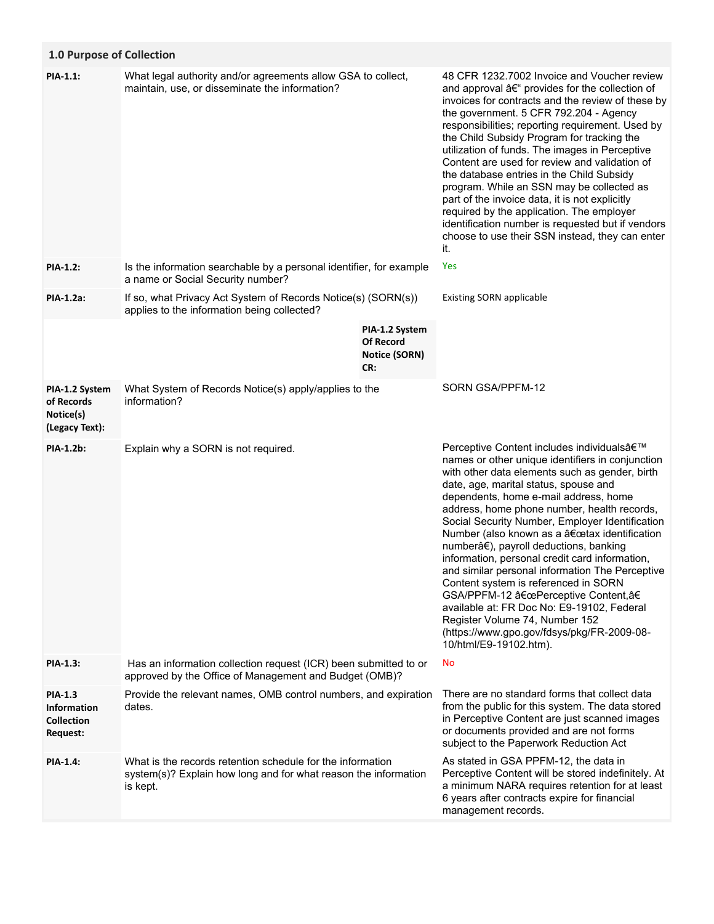# **1.0 Purpose of Collection**

| <b>PIA-1.1:</b>                                                              | What legal authority and/or agreements allow GSA to collect,<br>maintain, use, or disseminate the information?                            |                                                                   | 48 CFR 1232.7002 Invoice and Voucher review<br>and approval – provides for the collection of<br>invoices for contracts and the review of these by<br>the government. 5 CFR 792.204 - Agency<br>responsibilities; reporting requirement. Used by<br>the Child Subsidy Program for tracking the<br>utilization of funds. The images in Perceptive<br>Content are used for review and validation of<br>the database entries in the Child Subsidy<br>program. While an SSN may be collected as<br>part of the invoice data, it is not explicitly<br>required by the application. The employer<br>identification number is requested but if vendors<br>choose to use their SSN instead, they can enter<br>it.                                                               |
|------------------------------------------------------------------------------|-------------------------------------------------------------------------------------------------------------------------------------------|-------------------------------------------------------------------|------------------------------------------------------------------------------------------------------------------------------------------------------------------------------------------------------------------------------------------------------------------------------------------------------------------------------------------------------------------------------------------------------------------------------------------------------------------------------------------------------------------------------------------------------------------------------------------------------------------------------------------------------------------------------------------------------------------------------------------------------------------------|
| <b>PIA-1.2:</b>                                                              | Is the information searchable by a personal identifier, for example<br>a name or Social Security number?                                  |                                                                   | Yes                                                                                                                                                                                                                                                                                                                                                                                                                                                                                                                                                                                                                                                                                                                                                                    |
| PIA-1.2a:                                                                    | If so, what Privacy Act System of Records Notice(s) (SORN(s))<br>applies to the information being collected?                              |                                                                   | <b>Existing SORN applicable</b>                                                                                                                                                                                                                                                                                                                                                                                                                                                                                                                                                                                                                                                                                                                                        |
|                                                                              |                                                                                                                                           | PIA-1.2 System<br><b>Of Record</b><br><b>Notice (SORN)</b><br>CR: |                                                                                                                                                                                                                                                                                                                                                                                                                                                                                                                                                                                                                                                                                                                                                                        |
| PIA-1.2 System<br>of Records<br>Notice(s)<br>(Legacy Text):                  | What System of Records Notice(s) apply/applies to the<br>information?                                                                     |                                                                   | SORN GSA/PPFM-12                                                                                                                                                                                                                                                                                                                                                                                                                                                                                                                                                                                                                                                                                                                                                       |
| <b>PIA-1.2b:</b>                                                             | Explain why a SORN is not required.                                                                                                       |                                                                   | Perceptive Content includes individuals'<br>names or other unique identifiers in conjunction<br>with other data elements such as gender, birth<br>date, age, marital status, spouse and<br>dependents, home e-mail address, home<br>address, home phone number, health records,<br>Social Security Number, Employer Identification<br>Number (also known as a "tax identification<br>numberâ€), payroll deductions, banking<br>information, personal credit card information,<br>and similar personal information The Perceptive<br>Content system is referenced in SORN<br>GSA/PPFM-12 "Perceptive Content,â€<br>available at: FR Doc No: E9-19102, Federal<br>Register Volume 74, Number 152<br>(https://www.gpo.gov/fdsys/pkg/FR-2009-08-<br>10/html/E9-19102.htm). |
| <b>PIA-1.3:</b>                                                              | Has an information collection request (ICR) been submitted to or<br>approved by the Office of Management and Budget (OMB)?                |                                                                   | No                                                                                                                                                                                                                                                                                                                                                                                                                                                                                                                                                                                                                                                                                                                                                                     |
| <b>PIA-1.3</b><br><b>Information</b><br><b>Collection</b><br><b>Request:</b> | Provide the relevant names, OMB control numbers, and expiration<br>dates.                                                                 |                                                                   | There are no standard forms that collect data<br>from the public for this system. The data stored<br>in Perceptive Content are just scanned images<br>or documents provided and are not forms<br>subject to the Paperwork Reduction Act                                                                                                                                                                                                                                                                                                                                                                                                                                                                                                                                |
| <b>PIA-1.4:</b>                                                              | What is the records retention schedule for the information<br>system(s)? Explain how long and for what reason the information<br>is kept. |                                                                   | As stated in GSA PPFM-12, the data in<br>Perceptive Content will be stored indefinitely. At<br>a minimum NARA requires retention for at least<br>6 years after contracts expire for financial<br>management records.                                                                                                                                                                                                                                                                                                                                                                                                                                                                                                                                                   |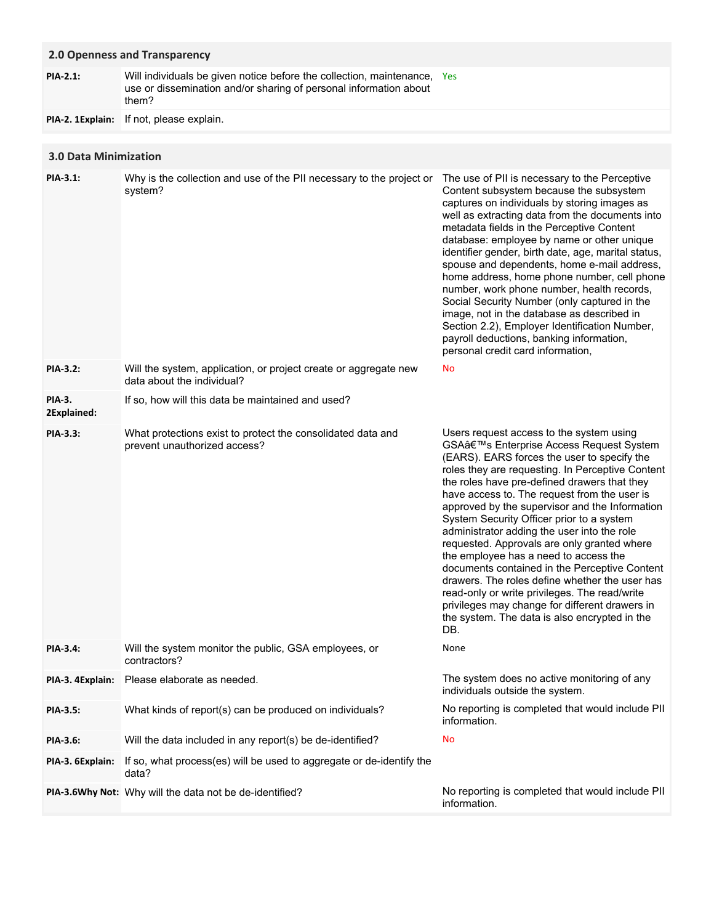### **2.0 Openness and Transparency**

Will individuals be given notice before the collection, maintenance, Yes use or dissemination and/or sharing of personal information about them? **PIA-2.1:**

**PIA-2. 1Explain:** If not, please explain.

### **3.0 Data Minimization**

| <b>PIA-3.1:</b>              | Why is the collection and use of the PII necessary to the project or<br>system?                | The use of PII is necessary to the Perceptive<br>Content subsystem because the subsystem<br>captures on individuals by storing images as<br>well as extracting data from the documents into<br>metadata fields in the Perceptive Content<br>database: employee by name or other unique<br>identifier gender, birth date, age, marital status,<br>spouse and dependents, home e-mail address,<br>home address, home phone number, cell phone<br>number, work phone number, health records,<br>Social Security Number (only captured in the<br>image, not in the database as described in<br>Section 2.2), Employer Identification Number,<br>payroll deductions, banking information,<br>personal credit card information,                                                                 |
|------------------------------|------------------------------------------------------------------------------------------------|-------------------------------------------------------------------------------------------------------------------------------------------------------------------------------------------------------------------------------------------------------------------------------------------------------------------------------------------------------------------------------------------------------------------------------------------------------------------------------------------------------------------------------------------------------------------------------------------------------------------------------------------------------------------------------------------------------------------------------------------------------------------------------------------|
| PIA-3.2:                     | Will the system, application, or project create or aggregate new<br>data about the individual? | No                                                                                                                                                                                                                                                                                                                                                                                                                                                                                                                                                                                                                                                                                                                                                                                        |
| <b>PIA-3.</b><br>2Explained: | If so, how will this data be maintained and used?                                              |                                                                                                                                                                                                                                                                                                                                                                                                                                                                                                                                                                                                                                                                                                                                                                                           |
| PIA-3.3:                     | What protections exist to protect the consolidated data and<br>prevent unauthorized access?    | Users request access to the system using<br>GSA's Enterprise Access Request System<br>(EARS). EARS forces the user to specify the<br>roles they are requesting. In Perceptive Content<br>the roles have pre-defined drawers that they<br>have access to. The request from the user is<br>approved by the supervisor and the Information<br>System Security Officer prior to a system<br>administrator adding the user into the role<br>requested. Approvals are only granted where<br>the employee has a need to access the<br>documents contained in the Perceptive Content<br>drawers. The roles define whether the user has<br>read-only or write privileges. The read/write<br>privileges may change for different drawers in<br>the system. The data is also encrypted in the<br>DB. |
| PIA-3.4:                     | Will the system monitor the public, GSA employees, or<br>contractors?                          | None                                                                                                                                                                                                                                                                                                                                                                                                                                                                                                                                                                                                                                                                                                                                                                                      |
|                              | PIA-3. 4Explain: Please elaborate as needed.                                                   | The system does no active monitoring of any<br>individuals outside the system.                                                                                                                                                                                                                                                                                                                                                                                                                                                                                                                                                                                                                                                                                                            |
| <b>PIA-3.5:</b>              | What kinds of report(s) can be produced on individuals?                                        | No reporting is completed that would include PII<br>information.                                                                                                                                                                                                                                                                                                                                                                                                                                                                                                                                                                                                                                                                                                                          |
| PIA-3.6:                     | Will the data included in any report(s) be de-identified?                                      | No                                                                                                                                                                                                                                                                                                                                                                                                                                                                                                                                                                                                                                                                                                                                                                                        |
| PIA-3. 6Explain:             | If so, what process(es) will be used to aggregate or de-identify the<br>data?                  |                                                                                                                                                                                                                                                                                                                                                                                                                                                                                                                                                                                                                                                                                                                                                                                           |
|                              | PIA-3.6Why Not: Why will the data not be de-identified?                                        | No reporting is completed that would include PII<br>information.                                                                                                                                                                                                                                                                                                                                                                                                                                                                                                                                                                                                                                                                                                                          |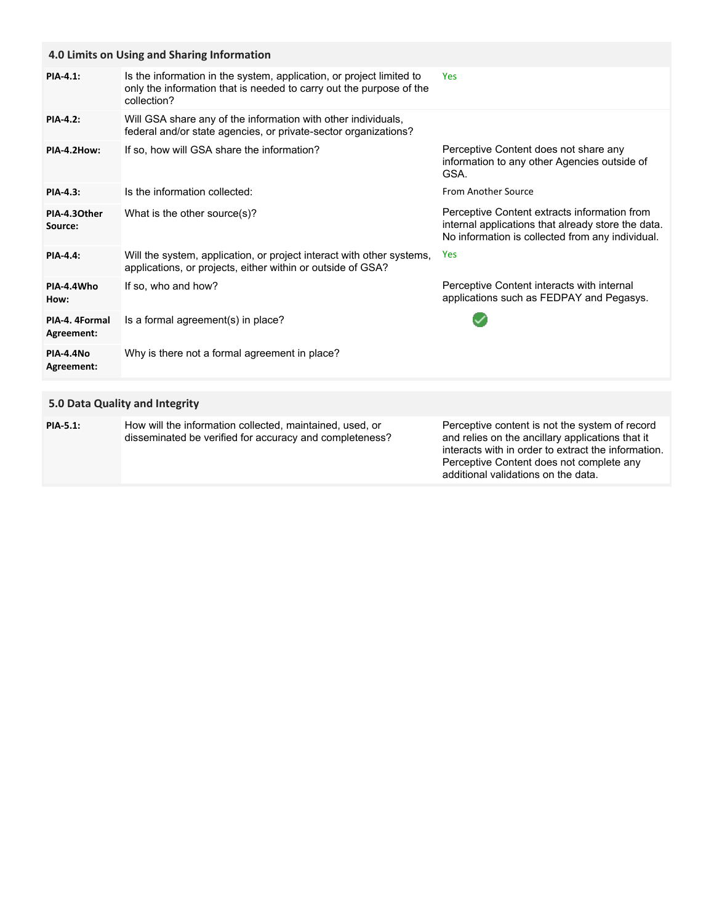| 4.0 Limits on Using and Sharing Information |                                                                                                                                                            |                                                                                                                                                        |  |  |
|---------------------------------------------|------------------------------------------------------------------------------------------------------------------------------------------------------------|--------------------------------------------------------------------------------------------------------------------------------------------------------|--|--|
| <b>PIA-4.1:</b>                             | Is the information in the system, application, or project limited to<br>only the information that is needed to carry out the purpose of the<br>collection? | <b>Yes</b>                                                                                                                                             |  |  |
| <b>PIA-4.2:</b>                             | Will GSA share any of the information with other individuals,<br>federal and/or state agencies, or private-sector organizations?                           |                                                                                                                                                        |  |  |
| PIA-4.2How:                                 | If so, how will GSA share the information?                                                                                                                 | Perceptive Content does not share any<br>information to any other Agencies outside of<br>GSA.                                                          |  |  |
| PIA-4.3:                                    | Is the information collected:                                                                                                                              | <b>From Another Source</b>                                                                                                                             |  |  |
| PIA-4.30ther<br>Source:                     | What is the other source(s)?                                                                                                                               | Perceptive Content extracts information from<br>internal applications that already store the data.<br>No information is collected from any individual. |  |  |
| <b>PIA-4.4:</b>                             | Will the system, application, or project interact with other systems,<br>applications, or projects, either within or outside of GSA?                       | <b>Yes</b>                                                                                                                                             |  |  |
| PIA-4.4Who<br>How:                          | If so, who and how?                                                                                                                                        | Perceptive Content interacts with internal<br>applications such as FEDPAY and Pegasys.                                                                 |  |  |
| PIA-4. 4Formal<br>Agreement:                | Is a formal agreement(s) in place?                                                                                                                         |                                                                                                                                                        |  |  |
| <b>PIA-4.4No</b><br>Agreement:              | Why is there not a formal agreement in place?                                                                                                              |                                                                                                                                                        |  |  |

### **5.0 Data Quality and Integrity**

| <b>PIA-5.1:</b> | How will the information collected, maintained, used, or<br>disseminated be verified for accuracy and completeness? | Perceptive content is not the system of record<br>and relies on the ancillary applications that it<br>interacts with in order to extract the information. |
|-----------------|---------------------------------------------------------------------------------------------------------------------|-----------------------------------------------------------------------------------------------------------------------------------------------------------|
|                 |                                                                                                                     | Perceptive Content does not complete any                                                                                                                  |
|                 |                                                                                                                     | additional validations on the data.                                                                                                                       |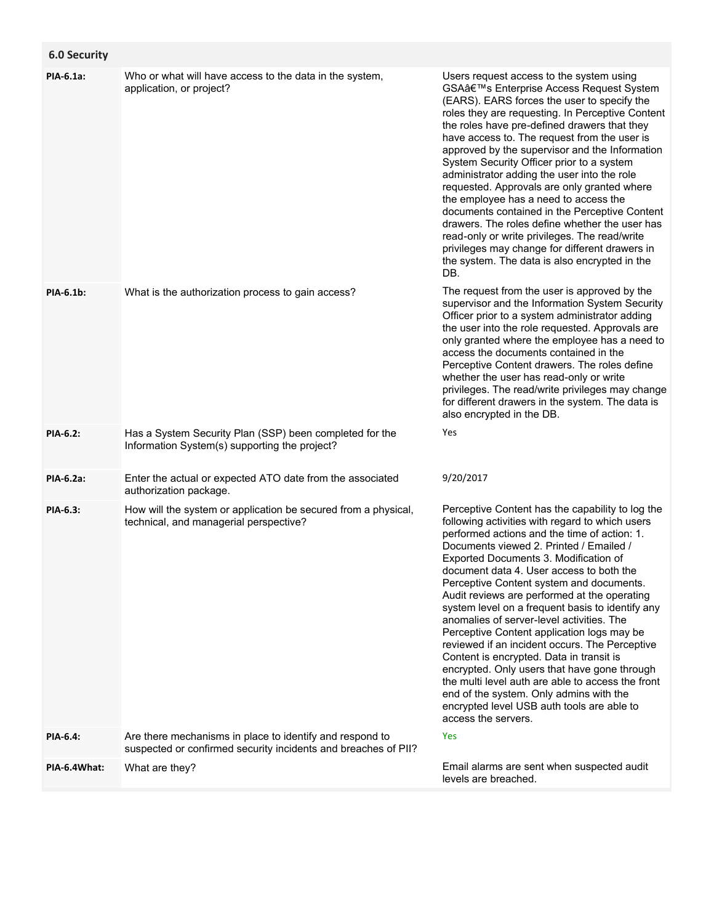## **6.0 Security**

| PIA-6.1a:       | Who or what will have access to the data in the system,<br>application, or project?                                        | Users request access to the system using<br>GSA's Enterprise Access Request System<br>(EARS). EARS forces the user to specify the<br>roles they are requesting. In Perceptive Content<br>the roles have pre-defined drawers that they<br>have access to. The request from the user is<br>approved by the supervisor and the Information<br>System Security Officer prior to a system<br>administrator adding the user into the role<br>requested. Approvals are only granted where<br>the employee has a need to access the<br>documents contained in the Perceptive Content<br>drawers. The roles define whether the user has<br>read-only or write privileges. The read/write<br>privileges may change for different drawers in<br>the system. The data is also encrypted in the<br>DB.                                                         |
|-----------------|----------------------------------------------------------------------------------------------------------------------------|---------------------------------------------------------------------------------------------------------------------------------------------------------------------------------------------------------------------------------------------------------------------------------------------------------------------------------------------------------------------------------------------------------------------------------------------------------------------------------------------------------------------------------------------------------------------------------------------------------------------------------------------------------------------------------------------------------------------------------------------------------------------------------------------------------------------------------------------------|
| PIA-6.1b:       | What is the authorization process to gain access?                                                                          | The request from the user is approved by the<br>supervisor and the Information System Security<br>Officer prior to a system administrator adding<br>the user into the role requested. Approvals are<br>only granted where the employee has a need to<br>access the documents contained in the<br>Perceptive Content drawers. The roles define<br>whether the user has read-only or write<br>privileges. The read/write privileges may change<br>for different drawers in the system. The data is<br>also encrypted in the DB.                                                                                                                                                                                                                                                                                                                     |
| PIA-6.2:        | Has a System Security Plan (SSP) been completed for the<br>Information System(s) supporting the project?                   | Yes                                                                                                                                                                                                                                                                                                                                                                                                                                                                                                                                                                                                                                                                                                                                                                                                                                               |
| PIA-6.2a:       | Enter the actual or expected ATO date from the associated<br>authorization package.                                        | 9/20/2017                                                                                                                                                                                                                                                                                                                                                                                                                                                                                                                                                                                                                                                                                                                                                                                                                                         |
| PIA-6.3:        | How will the system or application be secured from a physical,<br>technical, and managerial perspective?                   | Perceptive Content has the capability to log the<br>following activities with regard to which users<br>performed actions and the time of action: 1.<br>Documents viewed 2. Printed / Emailed /<br>Exported Documents 3. Modification of<br>document data 4. User access to both the<br>Perceptive Content system and documents.<br>Audit reviews are performed at the operating<br>system level on a frequent basis to identify any<br>anomalies of server-level activities. The<br>Perceptive Content application logs may be<br>reviewed if an incident occurs. The Perceptive<br>Content is encrypted. Data in transit is<br>encrypted. Only users that have gone through<br>the multi level auth are able to access the front<br>end of the system. Only admins with the<br>encrypted level USB auth tools are able to<br>access the servers. |
| <b>PIA-6.4:</b> | Are there mechanisms in place to identify and respond to<br>suspected or confirmed security incidents and breaches of PII? | <b>Yes</b>                                                                                                                                                                                                                                                                                                                                                                                                                                                                                                                                                                                                                                                                                                                                                                                                                                        |
| PIA-6.4What:    | What are they?                                                                                                             | Email alarms are sent when suspected audit<br>levels are breached.                                                                                                                                                                                                                                                                                                                                                                                                                                                                                                                                                                                                                                                                                                                                                                                |
|                 |                                                                                                                            |                                                                                                                                                                                                                                                                                                                                                                                                                                                                                                                                                                                                                                                                                                                                                                                                                                                   |